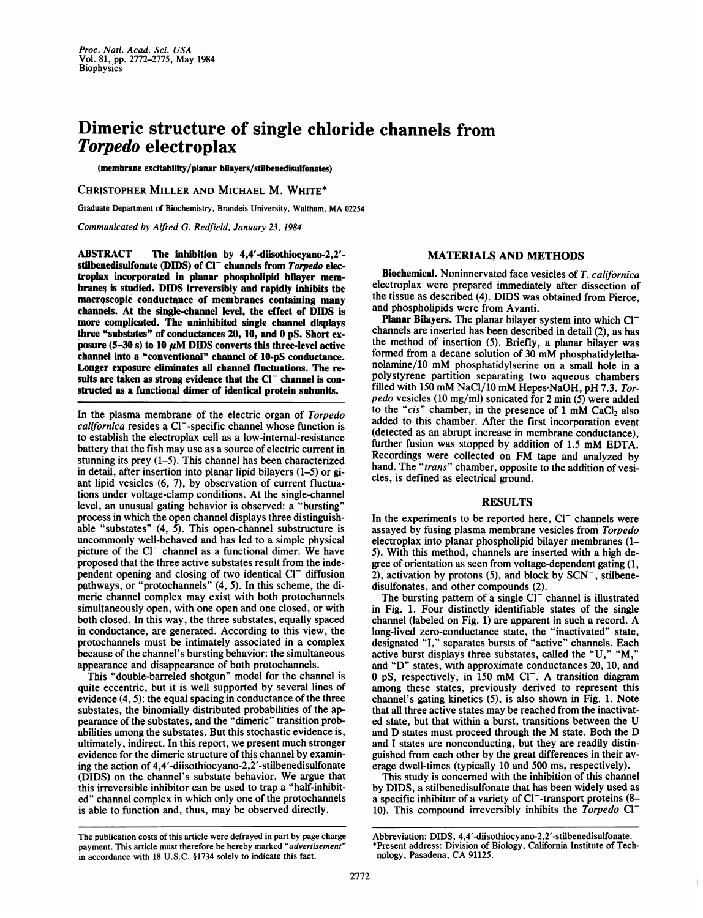# Dimeric structure of single chloride channels from Torpedo electroplax

(membrane excitability/planar bilayers/stilbenedisulfonates)

CHRISTOPHER MILLER AND MICHAEL M. WHITE\*

Graduate Department of Biochemistry, Brandeis University, Waltham, MA <sup>02254</sup>

Communicated by Alfred G. Redfield, January 23, 1984

ABSTRACT The inhibition by 4,4'-diisothiocyano-2,2' stilbenedisulfonate (DIDS) of  $CI^-$  channels from  $Toredo$  electroplax incorporated in planar phospholipid bilayer membranes is studied. DIDS irreversibly and rapidly inhibits the macroscopic conductance of membranes containing many channels. At the single-channel level, the effect of DIDS is more complicated. The uninhibited single channel displays three "substates" of conductances 20, 10, and 0 pS. Short exposure (5-30 s) to 10  $\mu$ M DIDS converts this three-level active channel into a "conventional" channel of 10-pS conductance. Longer exposure eliminates all channel fluctuations. The results are taken as strong evidence that the  $Cl^-$  channel is constructed as a functional dimer of identical protein subunits.

In the plasma membrane of the electric organ of Torpedo californica resides a Cl--specific channel whose function is to establish the electroplax cell as a low-internal-resistance battery that the fish may use as a source of electric current in stunning its prey (1-5). This channel has been characterized in detail, after insertion into planar lipid bilayers (1-5) or giant lipid vesicles (6, 7), by observation of current fluctuations under voltage-clamp conditions. At the single-channel level, an unusual gating behavior is observed: a "bursting" process in which the open channel displays three distinguishable "substates" (4, 5). This open-channel substructure is uncommonly well-behaved and has led to a simple physical picture of the  $Cl^-$  channel as a functional dimer. We have proposed that the three active substates result from the independent opening and closing of two identical  $Cl^-$  diffusion pathways, or "protochannels" (4, 5). In this scheme, the dimeric channel complex may exist with both protochannels simultaneously open, with one open and one closed, or with both closed. In this way, the three substates, equally spaced in conductance, are generated. According to this view, the protochannels must be intimately associated in a complex because of the channel's bursting behavior: the simultaneous appearance and disappearance of both protochannels.

This "double-barreled shotgun" model for the channel is quite eccentric, but it is well supported by several lines of evidence (4, 5): the equal spacing in conductance of the three substates, the binomially distributed probabilities of the appearance of the substates, and the "dimeric" transition probabilities among the substates. But this stochastic evidence is, ultimately, indirect. In this report, we present much stronger evidence for the dimeric structure of this channel by examining the action of 4,4'-diisothiocyano-2,2'-stilbenedisulfonate (DIDS) on the channel's substate behavior. We argue that this irreversible inhibitor can be used to trap a "half-inhibited" channel complex in which only one of the protochannels is able to function and, thus, may be observed directly.

#### The publication costs of this article were defrayed in part by page charge payment. This article must therefore be hereby marked "advertisement" in accordance with 18 U.S.C. §1734 solely to indicate this fact.

## MATERIALS AND METHODS

Biochemical. Noninnervated face vesicles of T. californica electroplax were prepared immediately after dissection of the tissue as described (4). DIDS was obtained from Pierce, and phospholipids were from Avanti.

Planar Bilayers. The planar bilayer system into which Cl<sup>-</sup> channels are inserted has been described in detail (2), as has the method of insertion (5). Briefly, a planar bilayer was formed from <sup>a</sup> decane solution of <sup>30</sup> mM phosphatidylethanolamine/10 mM phosphatidylserine on <sup>a</sup> small hole in <sup>a</sup> polystyrene partition separating two aqueous chambers filled with 150 mM NaCl/10 mM Hepes-NaOH, pH 7.3. Torpedo vesicles (10 mg/ml) sonicated for 2 min (5) were added to the "cis" chamber, in the presence of  $1 \text{ mM } CaCl<sub>2</sub>$  also added to this chamber. After the first incorporation event (detected as an abrupt increase in membrane conductance), further fusion was stopped by addition of 1.5 mM EDTA. Recordings were collected on FM tape and analyzed by hand. The "*trans*" chamber, opposite to the addition of vesicles, is defined as electrical ground.

### RESULTS

In the experiments to be reported here,  $Cl^-$  channels were assayed by fusing plasma membrane vesicles from Torpedo electroplax into planar phospholipid bilayer membranes (1- 5). With this method, channels are inserted with a high degree of orientation as seen from voltage-dependent gating (1, 2), activation by protons  $(5)$ , and block by SCN<sup>-</sup>, stilbenedisulfonates, and other compounds (2).

The bursting pattern of a single  $Cl^-$  channel is illustrated in Fig. 1. Four distinctly identifiable states of the single channel (labeled on Fig. 1) are apparent in such <sup>a</sup> record. A long-lived zero-conductance state, the "inactivated" state, designated "I," separates bursts of "active" channels. Each active burst displays three substates, called the "U," "M. and "D" states, with approximate conductances 20, 10, and 0 pS, respectively, in 150 mM Cl<sup>-</sup>. A transition diagram among these states, previously derived to represent this channel's gating kinetics (5), is also shown in Fig. 1. Note that all three active states may be reached from the inactivated state, but that within <sup>a</sup> burst, transitions between the U and D states must proceed through the M state. Both the D and <sup>I</sup> states are nonconducting, but they are readily distinguished from each other by the great differences in their average dwell-times (typically 10 and 500 ms, respectively).

This study is concerned with the inhibition of this channel by DIDS, a stilbenedisulfonate that has been widely used as a specific inhibitor of a variety of Cl<sup>-</sup>-transport proteins (8– 10). This compound irreversibly inhibits the Torpedo  $Cl^-$ 

Abbreviation: DIDS, 4,4'-diisothiocyano-2,2'-stilbenedisulfonate. \*Present address: Division of Biology, California Institute of Technology, Pasadena, CA 91125.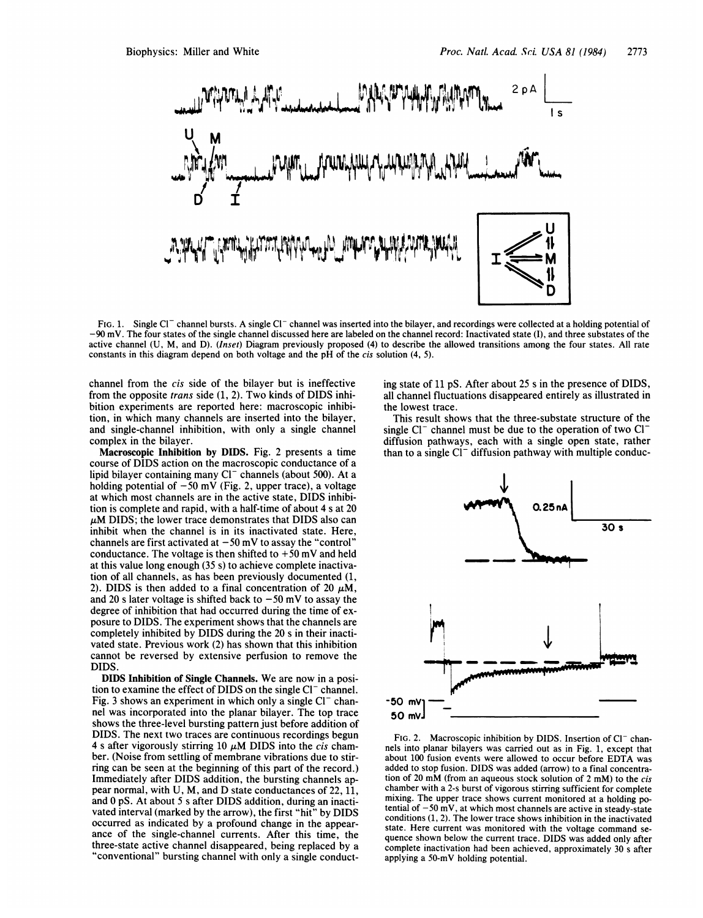

FIG. 1. Single Cl<sup>-</sup> channel bursts. A single Cl<sup>-</sup> channel was inserted into the bilayer, and recordings were collected at a holding potential of -90 mV. The four states of the single channel discussed here are labeled on the channel record: Inactivated state (I), and three substates of the active channel (U, M, and D). (Inset) Diagram previously proposed (4) to describe the allowed transitions among the four states. All rate constants in this diagram depend on both voltage and the pH of the cis solution (4, 5).

channel from the cis side of the bilayer but is ineffective from the opposite trans side (1, 2). Two kinds of DIDS inhibition experiments are reported here: macroscopic inhibition, in which many channels are inserted into the bilayer, and single-channel inhibition, with only a single channel complex in the bilayer.

Macroscopic Inhibition by DIDS. Fig. 2 presents a time course of DIDS action on the macroscopic conductance of a lipid bilayer containing many Cl<sup>-</sup> channels (about 500). At a holding potential of  $-50$  mV (Fig. 2, upper trace), a voltage at which most channels are in the active state, DIDS inhibition is complete and rapid, with a half-time of about 4 <sup>s</sup> at 20  $\mu$ M DIDS; the lower trace demonstrates that DIDS also can inhibit when the channel is in its inactivated state. Here, channels are first activated at  $-50$  mV to assay the "control" conductance. The voltage is then shifted to  $+50$  mV and held at this value long enough (35 s) to achieve complete inactivation of all channels, as has been previously documented (1, 2). DIDS is then added to a final concentration of 20  $\mu$ M. and 20 s later voltage is shifted back to  $-50$  mV to assay the degree of inhibition that had occurred during the time of exposure to DIDS. The experiment shows that the channels are completely inhibited by DIDS during the 20 <sup>s</sup> in their inactivated state. Previous work (2) has shown that this inhibition cannot be reversed by extensive perfusion to remove the **DIDS** 

DIDS Inhibition of Single Channels. We are now in <sup>a</sup> position to examine the effect of DIDS on the single Cl<sup>-</sup> channel. Fig. 3 shows an experiment in which only a single  $Cl^-$  channel was incorporated into the planar bilayer. The top trace shows the three-level bursting pattern just before addition of DIDS. The next two traces are continuous recordings begun 4 s after vigorously stirring 10  $\mu$ M DIDS into the *cis* chamber. (Noise from settling of membrane vibrations due to stirring can be seen at the beginning of this part of the record.) Immediately after DIDS addition, the bursting channels appear normal, with U, M, and D state conductances of 22, 11, and 0 pS. At about <sup>5</sup> <sup>s</sup> after DIDS addition, during an inactivated interval (marked by the arrow), the first "hit" by DIDS occurred as indicated by a profound change in the appearance of the single-channel currents. After this time, the three-state active channel disappeared, being replaced by a "conventional" bursting channel with only a single conducting state of 11 pS. After about 25 <sup>s</sup> in the presence of DIDS, all channel fluctuations disappeared entirely as illustrated in the lowest trace.

This result shows that the three-substate structure of the single  $Cl^-$  channel must be due to the operation of two  $Cl^$ diffusion pathways, each with a single open state, rather than to a single  $Cl^-$  diffusion pathway with multiple conduc-



FIG. 2. Macroscopic inhibition by DIDS. Insertion of Cl<sup>-</sup> channels into planar bilayers was carried out as in Fig. 1, except that about <sup>100</sup> fusion events were allowed to occur before EDTA was added to stop fusion. DIDS was added (arrow) to a final concentration of <sup>20</sup> mM (from an aqueous stock solution of <sup>2</sup> mM) to the cis chamber with a 2-s burst of vigorous stirring sufficient for complete mixing. The upper trace shows current monitored at a holding potential of  $-50 \text{ mV}$ , at which most channels are active in steady-state conditions (1, 2). The lower trace shows inhibition in the inactivated state. Here current was monitored with the voltage command sequence shown below the current trace. DIDS was added only after complete inactivation had been achieved, approximately 30 <sup>s</sup> after applying a 50-mV holding potential.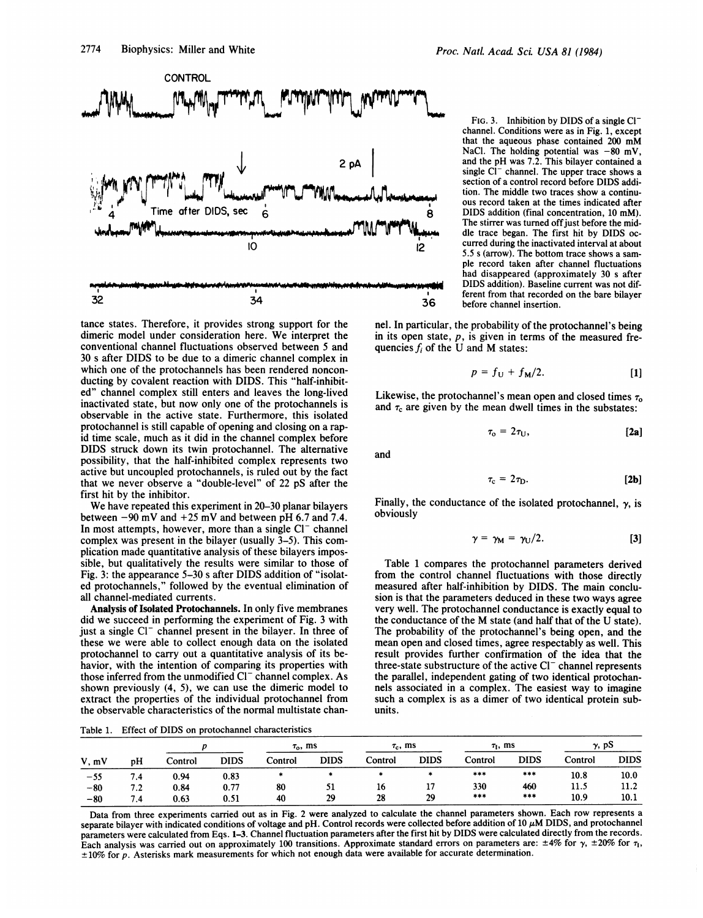

tance states. Therefore, it provides strong support for the dimeric model under consideration here. We interpret the conventional channel fluctuations observed between 5 and 30 <sup>s</sup> after DIDS to be due to a dimeric channel complex in which one of the protochannels has been rendered nonconducting by covalent reaction with DIDS. This "half-inhibited" channel complex still enters and leaves the long-lived inactivated state, but now only one of the protochannels is observable in the active state. Furthermore, this isolated protochannel is still capable of opening and closing on a rapid time scale, much as it did in the channel complex before DIDS struck down its twin protochannel. The alternative possibility, that the half-inhibited complex represents two active but uncoupled protochannels, is ruled out by the fact that we never observe a "double-level" of 22 pS after the first hit by the inhibitor.

We have repeated this experiment in 20-30 planar bilayers between  $-90$  mV and  $+25$  mV and between pH 6.7 and 7.4. In most attempts, however, more than a single  $Cl^-$  channel complex was present in the bilayer (usually 3-5). This complication made quantitative analysis of these bilayers impossible, but qualitatively the results were similar to those of Fig. 3: the appearance 5-30 <sup>s</sup> after DIDS addition of "isolated protochannels," followed by the eventual elimination of all channel-mediated currents.

Analysis of Isolated Protochannels. In only five membranes did we succeed in performing the experiment of Fig. <sup>3</sup> with just a single Cl<sup>-</sup> channel present in the bilayer. In three of these we were able to collect enough data on the isolated protochannel to carry out a quantitative analysis of its behavior, with the intention of comparing its properties with those inferred from the unmodified  $Cl^-$  channel complex. As shown previously (4, 5), we can use the dimeric model to extract the properties of the individual protochannel from the observable characteristics of the normal multistate chan-

Table 1. Effect of DIDS on protochannel characteristics

Proc. Natl. Acad. Sci. USA 81 (1984)

FIG. 3. Inhibition by DIDS of a single  $Cl^$ channel. Conditions were as in Fig. 1, except that the aqueous phase contained <sup>200</sup> mM NaCl. The holding potential was  $-80$  mV, and the pH was 7.2. This bilayer contained a single  $Cl^-$  channel. The upper trace shows a section of a control record before DIDS addition. The middle two traces show a continuous record taken at the times indicated after 8 DIDS addition (final concentration, <sup>10</sup> mM). The stirrer was turned off just before the middle trace began. The first hit by DIDS oc-<sup>1</sup>2 curred during the inactivated interval at about 5.5 <sup>s</sup> (arrow). The bottom trace shows a sample record taken after channel fluctuations had disappeared (approximately 30 s after DIDS addition). Baseline current was not different from that recorded on the bare bilayer 36 before channel insertion.

nel. In particular, the probability of the protochannel's being in its open state,  $p$ , is given in terms of the measured frequencies  $f_i$  of the U and M states:

$$
p = f_{\mathrm{U}} + f_{\mathrm{M}}/2. \tag{1}
$$

Likewise, the protochannel's mean open and closed times  $\tau_0$ and  $\tau_c$  are given by the mean dwell times in the substates:

$$
\tau_{\rm o} = 2\tau_{\rm U}, \qquad \qquad [2a]
$$

and

$$
\tau_{\rm c} = 2\tau_{\rm D}.\tag{2b}
$$

Finally, the conductance of the isolated protochannel,  $\gamma$ , is obviously

$$
\gamma = \gamma_M = \gamma_U/2. \tag{3}
$$

Table 1 compares the protochannel parameters derived from the control channel fluctuations with those directly measured after half-inhibition by DIDS. The main conclusion is that the parameters deduced in these two ways agree very well. The protochannel conductance is exactly equal to the conductance of the M state (and half that of the U state). The probability of the protochannel's being open, and the mean open and closed times, agree respectably as well. This result provides further confirmation of the idea that the three-state substructure of the active  $Cl^-$  channel represents the parallel, independent gating of two identical protochannels associated in a complex. The easiest way to imagine such a complex is as a dimer of two identical protein subunits.

| V, mV | pН  |         |             | $\tau_{\rm o}$ , ms |             | $\tau_c$ , ms |             | $\tau_1$ , ms |             | $\gamma$ , pS |             |
|-------|-----|---------|-------------|---------------------|-------------|---------------|-------------|---------------|-------------|---------------|-------------|
|       |     | Control | <b>DIDS</b> | Control             | <b>DIDS</b> | Control       | <b>DIDS</b> | Control       | <b>DIDS</b> | Control       | <b>DIDS</b> |
| $-55$ | 7.4 | 0.94    | 0.83        |                     |             |               | 4           | ***           | ***         | 10.8          | 10.0        |
| $-80$ | 7.2 | 0.84    | 0.77        | 80                  | 51          | 16            | 11          | 330           | 460         | 11.5          | 11.2        |
| $-80$ | 7.4 | 0.63    | 0.51        | 40                  | 29          | 28            | 29          | $***$         | ***         | 10.9          | 10.1        |

Data from three experiments carried out as in Fig. 2 were analyzed to calculate the channel parameters shown. Each row represents a separate bilayer with indicated conditions of voltage and pH. Control records were collected before addition of 10  $\mu$ M DIDS, and protochannel parameters were calculated from Eqs. 1-3. Channel fluctuation parameters after the first hit by DIDS were calculated directly from the records. Each analysis was carried out on approximately 100 transitions. Approximate standard errors on parameters are:  $\pm 4\%$  for  $\gamma$ ,  $\pm 20\%$  for  $\tau_1$ ,  $± 10\%$  for p. Asterisks mark measurements for which not enough data were available for accurate determination.